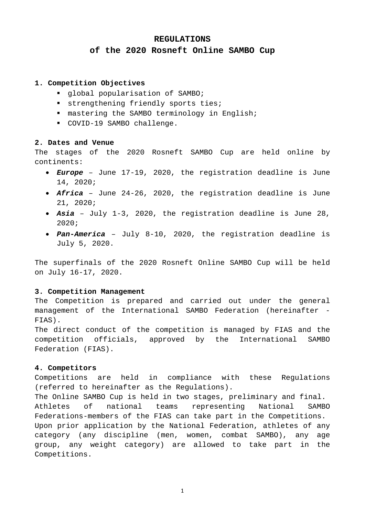### **REGULATIONS**

# **of the 2020 Rosneft Online SAMBO Cup**

#### **1. Competition Objectives**

- global popularisation of SAMBO;
- strengthening friendly sports ties;
- $\blacksquare$  mastering the SAMBO terminology in English;
- COVID-19 SAMBO challenge.

#### **2. Dates and Venue**

The stages of the 2020 Rosneft SAMBO Cup are held online by continents:

- *Europe* June 17-19, 2020, the registration deadline is June 14, 2020;
- *Africa* June 24-26, 2020, the registration deadline is June 21, 2020;
- *Asia* July 1-3, 2020, the registration deadline is June 28, 2020;
- *Pan-America* July 8-10, 2020, the registration deadline is July 5, 2020.

The superfinals of the 2020 Rosneft Online SAMBO Cup will be held on July 16-17, 2020.

## **3. Competition Management**

The Competition is prepared and carried out under the general management of the International SAMBO Federation (hereinafter - FIAS).

The direct conduct of the competition is managed by FIAS and the competition officials, approved by the International SAMBO Federation (FIAS).

### **4. Competitors**

Competitions are held in compliance with these Regulations (referred to hereinafter as the Regulations).

The Online SAMBO Cup is held in two stages, preliminary and final. Athletes of national teams representing National SAMBO Federations-members of the FIAS can take part in the Competitions. Upon prior application by the National Federation, athletes of any category (any discipline (men, women, combat SAMBO), any age group, any weight category) are allowed to take part in the Competitions.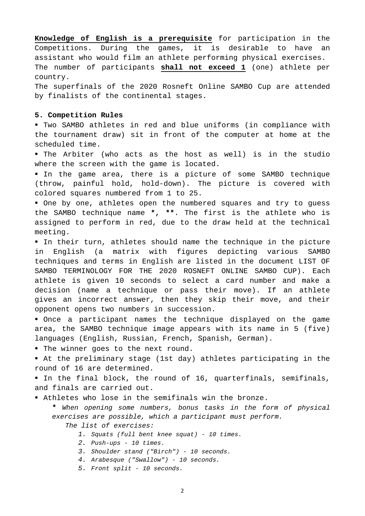**Knowledge of English is a prerequisite** for participation in the Competitions. During the games, it is desirable to have an assistant who would film an athlete performing physical exercises. The number of participants **shall not exceed 1** (one) athlete per country.

The superfinals of the 2020 Rosneft Online SAMBO Cup are attended by finalists of the continental stages.

#### **5. Competition Rules**

 Two SAMBO athletes in red and blue uniforms (in compliance with the tournament draw) sit in front of the computer at home at the scheduled time.

 The Arbiter (who acts as the host as well) is in the studio where the screen with the game is located.

 In the game area, there is a picture of some SAMBO technique (throw, painful hold, hold-down). The picture is covered with colored squares numbered from 1 to 25.

 One by one, athletes open the numbered squares and try to guess the SAMBO technique name **\*, \*\***. The first is the athlete who is assigned to perform in red, due to the draw held at the technical meeting.

 In their turn, athletes should name the technique in the picture in English (a matrix with figures depicting various SAMBO techniques and terms in English are listed in the document LIST OF SAMBO TERMINOLOGY FOR THE 2020 ROSNEFT ONLINE SAMBO CUP). Each athlete is given 10 seconds to select a card number and make a decision (name a technique or pass their move). If an athlete gives an incorrect answer, then they skip their move, and their opponent opens two numbers in succession.

 Once a participant names the technique displayed on the game area, the SAMBO technique image appears with its name in 5 (five) languages (English, Russian, French, Spanish, German).

" The winner goes to the next round.

 At the preliminary stage (1st day) athletes participating in the round of 16 are determined.

In the final block, the round of 16, quarterfinals, semifinals, and finals are carried out.

Athletes who lose in the semifinals win the bronze.

**\*** *When opening some numbers, bonus tasks in the form of physical exercises are possible, which a participant must perform.* 

*The list of exercises:*

- *1. Squats (full bent knee squat) - 10 times.*
- *2. Push-ups - 10 times.*
- *3. Shoulder stand ("Birch") - 10 seconds.*
- *4. Arabesque ("Swallow") - 10 seconds.*
- *5. Front split - 10 seconds.*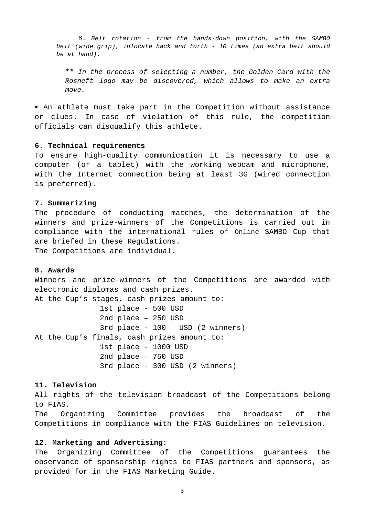*6. Belt rotation - from the hands-down position, with the SAMBO belt (wide grip), inlocate back and forth - 10 times (an extra belt should be at hand).*

**\*\*** *In the process of selecting a number, the Golden Card with the Rosneft logo may be discovered, which allows to make an extra move.*

 An athlete must take part in the Competition without assistance or clues. In case of violation of this rule, the competition officials can disqualify this athlete.

#### **6. Technical requirements**

To ensure high-quality communication it is necessary to use a computer (or a tablet) with the working webcam and microphone, with the Internet connection being at least 3G (wired connection is preferred).

#### **7. Summarizing**

The procedure of conducting matches, the determination of the winners and prize-winners of the Competitions is carried out in compliance with the international rules of Online SAMBO Cup that are briefed in these Regulations. The Competitions are individual.

### **8. Awards**

Winners and prize-winners of the Competitions are awarded with electronic diplomas and cash prizes. At the Cup's stages, cash prizes amount to: 1st place - 500 USD 2nd place – 250 USD 3rd place - 100 USD (2 winners) At the Cup's finals, cash prizes amount to: 1st place - 1000 USD 2nd place – 750 USD 3rd place - 300 USD (2 winners)

#### **11. Television**

All rights of the television broadcast of the Competitions belong to FIAS.

The Organizing Committee provides the broadcast of the Competitions in compliance with the FIAS Guidelines on television.

## **12. Marketing and Advertising:**

The Organizing Committee of the Competitions guarantees the observance of sponsorship rights to FIAS partners and sponsors, as provided for in the FIAS Marketing Guide.